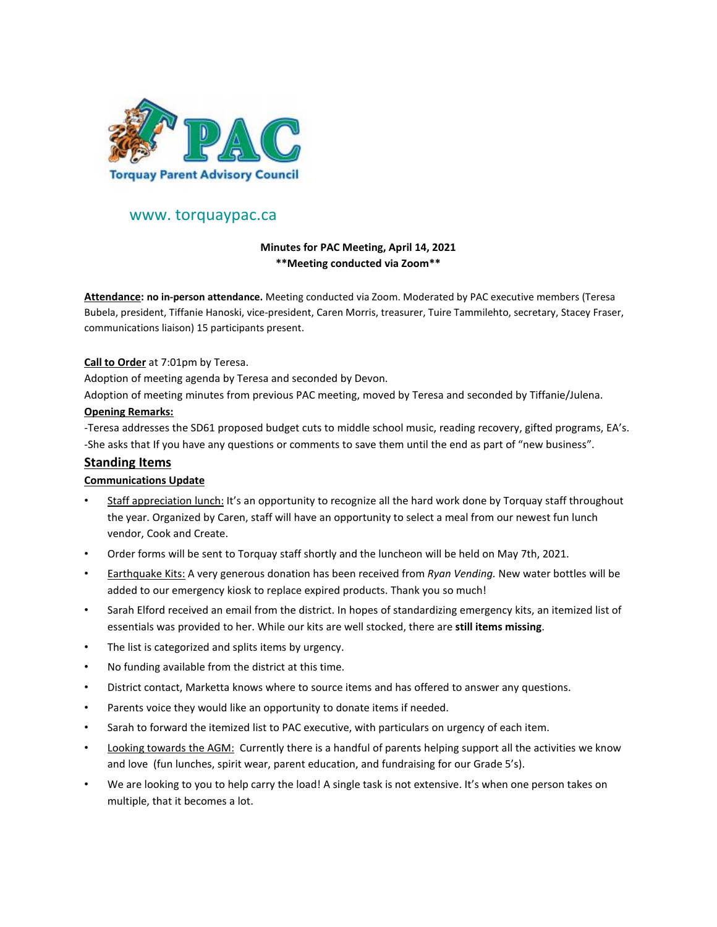

# www. torquaypac.ca

### **Minutes for PAC Meeting, April 14, 2021 \*\*Meeting conducted via Zoom\*\***

**Attendance: no in-person attendance.** Meeting conducted via Zoom. Moderated by PAC executive members (Teresa Bubela, president, Tiffanie Hanoski, vice-president, Caren Morris, treasurer, Tuire Tammilehto, secretary, Stacey Fraser, communications liaison) 15 participants present.

### **Call to Order** at 7:01pm by Teresa.

Adoption of meeting agenda by Teresa and seconded by Devon.

Adoption of meeting minutes from previous PAC meeting, moved by Teresa and seconded by Tiffanie/Julena.

### **Opening Remarks:**

-Teresa addresses the SD61 proposed budget cuts to middle school music, reading recovery, gifted programs, EA's. -She asks that If you have any questions or comments to save them until the end as part of "new business".

# **Standing Items**

### **Communications Update**

- Staff appreciation lunch: It's an opportunity to recognize all the hard work done by Torquay staff throughout the year. Organized by Caren, staff will have an opportunity to select a meal from our newest fun lunch vendor, Cook and Create.
- Order forms will be sent to Torquay staff shortly and the luncheon will be held on May 7th, 2021.
- Earthquake Kits: A very generous donation has been received from *Ryan Vending.* New water bottles will be added to our emergency kiosk to replace expired products. Thank you so much!
- Sarah Elford received an email from the district. In hopes of standardizing emergency kits, an itemized list of essentials was provided to her. While our kits are well stocked, there are **still items missing**.
- The list is categorized and splits items by urgency.
- No funding available from the district at this time.
- District contact, Marketta knows where to source items and has offered to answer any questions.
- Parents voice they would like an opportunity to donate items if needed.
- Sarah to forward the itemized list to PAC executive, with particulars on urgency of each item.
- Looking towards the AGM: Currently there is a handful of parents helping support all the activities we know and love (fun lunches, spirit wear, parent education, and fundraising for our Grade 5's).
- We are looking to you to help carry the load! A single task is not extensive. It's when one person takes on multiple, that it becomes a lot.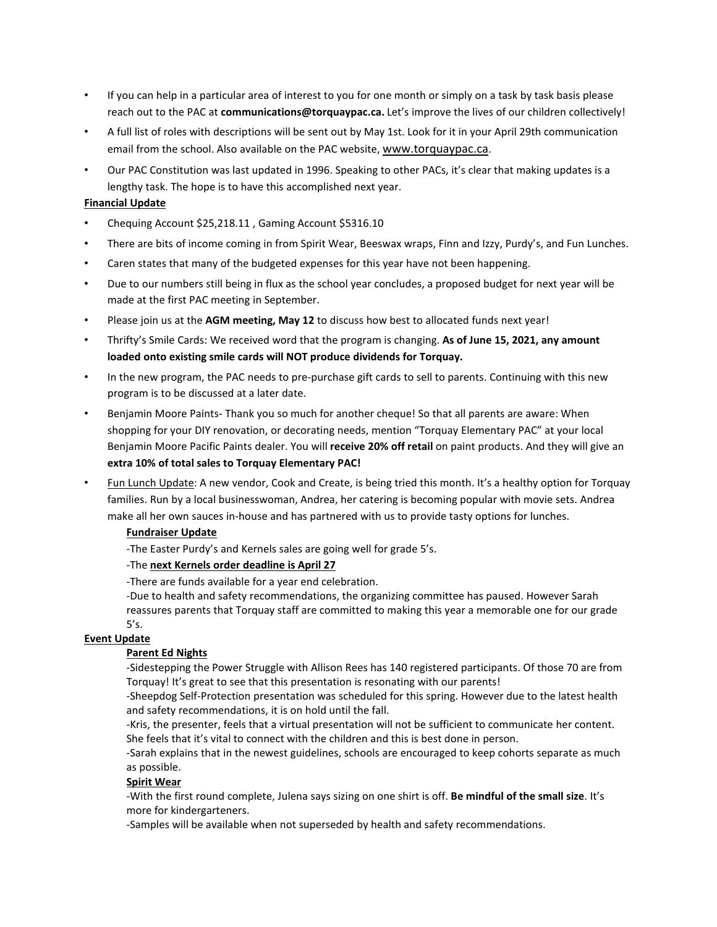- If you can help in a particular area of interest to you for one month or simply on a task by task basis please reach out to the PAC at **communications@torquaypac.ca.** Let's improve the lives of our children collectively!
- A full list of roles with descriptions will be sent out by May 1st. Look for it in your April 29th communication email from the school. Also available on the PAC website, [www.torquaypac.ca](http://www.torquaypac.ca/).
- Our PAC Constitution was last updated in 1996. Speaking to other PACs, it's clear that making updates is a lengthy task. The hope is to have this accomplished next year.

#### **Financial Update**

- Chequing Account \$25,218.11 , Gaming Account \$5316.10
- There are bits of income coming in from Spirit Wear, Beeswax wraps, Finn and Izzy, Purdy's, and Fun Lunches.
- Caren states that many of the budgeted expenses for this year have not been happening.
- Due to our numbers still being in flux as the school year concludes, a proposed budget for next year will be made at the first PAC meeting in September.
- Please join us at the **AGM meeting, May 12** to discuss how best to allocated funds next year!
- Thrifty's Smile Cards: We received word that the program is changing. **As of June 15, 2021, any amount loaded onto existing smile cards will NOT produce dividends for Torquay.**
- In the new program, the PAC needs to pre-purchase gift cards to sell to parents. Continuing with this new program is to be discussed at a later date.
- Benjamin Moore Paints- Thank you so much for another cheque! So that all parents are aware: When shopping for your DIY renovation, or decorating needs, mention "Torquay Elementary PAC" at your local Benjamin Moore Pacific Paints dealer. You will **receive 20% off retail** on paint products. And they will give an **extra 10% of total sales to Torquay Elementary PAC!**
- Fun Lunch Update: A new vendor, Cook and Create, is being tried this month. It's a healthy option for Torquay families. Run by a local businesswoman, Andrea, her catering is becoming popular with movie sets. Andrea make all her own sauces in-house and has partnered with us to provide tasty options for lunches.

#### **Fundraiser Update**

-The Easter Purdy's and Kernels sales are going well for grade 5's.

#### -The **next Kernels order deadline is April 27**

-There are funds available for a year end celebration.

-Due to health and safety recommendations, the organizing committee has paused. However Sarah reassures parents that Torquay staff are committed to making this year a memorable one for our grade 5's.

# **Event Update**

### **Parent Ed Nights**

-Sidestepping the Power Struggle with Allison Rees has 140 registered participants. Of those 70 are from Torquay! It's great to see that this presentation is resonating with our parents!

-Sheepdog Self-Protection presentation was scheduled for this spring. However due to the latest health and safety recommendations, it is on hold until the fall.

-Kris, the presenter, feels that a virtual presentation will not be sufficient to communicate her content. She feels that it's vital to connect with the children and this is best done in person.

-Sarah explains that in the newest guidelines, schools are encouraged to keep cohorts separate as much as possible.

#### **Spirit Wear**

-With the first round complete, Julena says sizing on one shirt is off. **Be mindful of the small size**. It's more for kindergarteners.

-Samples will be available when not superseded by health and safety recommendations.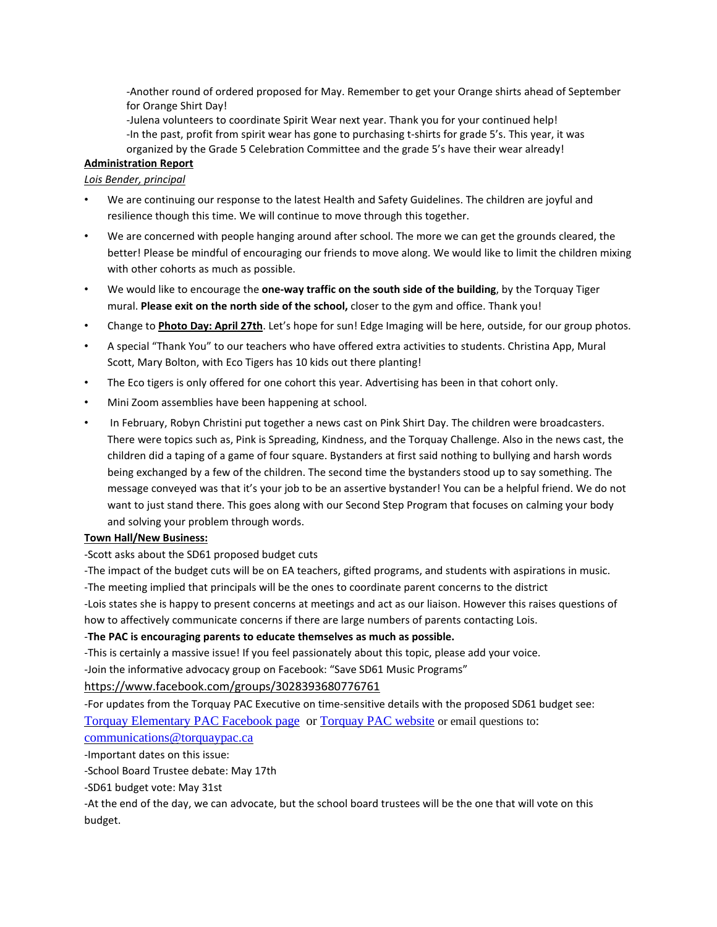-Another round of ordered proposed for May. Remember to get your Orange shirts ahead of September for Orange Shirt Day!

-Julena volunteers to coordinate Spirit Wear next year. Thank you for your continued help! -In the past, profit from spirit wear has gone to purchasing t-shirts for grade 5's. This year, it was organized by the Grade 5 Celebration Committee and the grade 5's have their wear already!

# **Administration Report**

## *Lois Bender, principal*

- We are continuing our response to the latest Health and Safety Guidelines. The children are joyful and resilience though this time. We will continue to move through this together.
- We are concerned with people hanging around after school. The more we can get the grounds cleared, the better! Please be mindful of encouraging our friends to move along. We would like to limit the children mixing with other cohorts as much as possible.
- We would like to encourage the **one-way traffic on the south side of the building**, by the Torquay Tiger mural. **Please exit on the north side of the school,** closer to the gym and office. Thank you!
- Change to **Photo Day: April 27th**. Let's hope for sun! Edge Imaging will be here, outside, for our group photos.
- A special "Thank You" to our teachers who have offered extra activities to students. Christina App, Mural Scott, Mary Bolton, with Eco Tigers has 10 kids out there planting!
- The Eco tigers is only offered for one cohort this year. Advertising has been in that cohort only.
- Mini Zoom assemblies have been happening at school.
- In February, Robyn Christini put together a news cast on Pink Shirt Day. The children were broadcasters. There were topics such as, Pink is Spreading, Kindness, and the Torquay Challenge. Also in the news cast, the children did a taping of a game of four square. Bystanders at first said nothing to bullying and harsh words being exchanged by a few of the children. The second time the bystanders stood up to say something. The message conveyed was that it's your job to be an assertive bystander! You can be a helpful friend. We do not want to just stand there. This goes along with our Second Step Program that focuses on calming your body and solving your problem through words.

### **Town Hall/New Business:**

-Scott asks about the SD61 proposed budget cuts

-The impact of the budget cuts will be on EA teachers, gifted programs, and students with aspirations in music.

-The meeting implied that principals will be the ones to coordinate parent concerns to the district

-Lois states she is happy to present concerns at meetings and act as our liaison. However this raises questions of how to affectively communicate concerns if there are large numbers of parents contacting Lois.

### -**The PAC is encouraging parents to educate themselves as much as possible.**

-This is certainly a massive issue! If you feel passionately about this topic, please add your voice.

-Join the informative advocacy group on Facebook: "Save SD61 Music Programs"

### <https://www.facebook.com/groups/3028393680776761>

-For updates from the Torquay PAC Executive on time-sensitive details with the proposed SD61 budget see: Torquay [Elementary](https://www.facebook.com/TorquayPAC) PAC Facebook page or [Torquay](http://torquaypac.ca/) PAC website or email questions to:

### [communications@torquaypac.ca](mailto:communications@torquaypac.ca)

-Important dates on this issue:

-School Board Trustee debate: May 17th

-SD61 budget vote: May 31st

-At the end of the day, we can advocate, but the school board trustees will be the one that will vote on this budget.